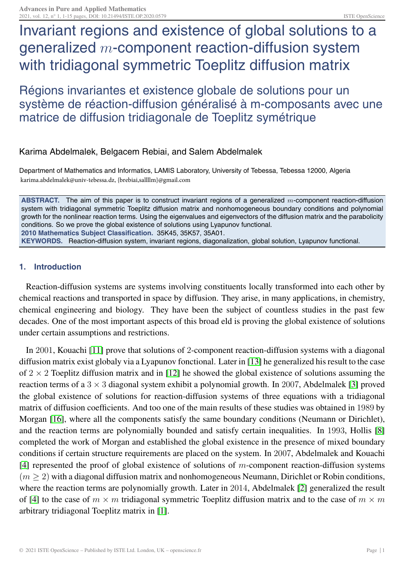# Invariant regions and existence of global solutions to a generalized m-component reaction-diffusion system with tridiagonal symmetric Toeplitz diffusion matrix

Régions invariantes et existence globale de solutions pour un système de réaction-diffusion généralisé à m-composants avec une matrice de diffusion tridiagonale de Toeplitz symétrique

## Karima Abdelmalek, Belgacem Rebiai, and Salem Abdelmalek

Department of Mathematics and Informatics, LAMIS Laboratory, University of Tebessa, Tebessa 12000, Algeria karima.abdelmalek@univ-tebessa.dz, {brebiai,sallllm}@gmail.com

**ABSTRACT.** The aim of this paper is to construct invariant regions of a generalized *m*-component reaction-diffusion system with tridiagonal symmetric Toeplitz diffusion matrix and nonhomogeneous boundary conditions and polynomial growth for the nonlinear reaction terms. Using the eigenvalues and eigenvectors of the diffusion matrix and the parabolicity conditions. So we prove the global existence of solutions using Lyapunov functional. **2010 Mathematics Subject Classification.** 35K45, 35K57, 35A01. **KEYWORDS.** Reaction-diffusion system, invariant regions, diagonalization, global solution, Lyapunov functional.

### **1. Introduction**

Reaction-diffusion systems are systems involving constituents locally transformed into each other by chemical reactions and transported in space by diffusion. They arise, in many applications, in chemistry, chemical engineering and biology. They have been the subject of countless studies in the past few decades. One of the most important aspects of this broad eld is proving the global existence of solutions under certain assumptions and restrictions.

In 2001, Kouachi [\[11\]](#page-13-0) prove that solutions of 2-component reaction-diffusion systems with a diagonal diffusion matrix exist globaly via a Lyapunov fonctional. Later in [\[13\]](#page-14-0) he generalized his result to the case of  $2 \times 2$  Toeplitz diffusion matrix and in [\[12\]](#page-14-1) he showed the global existence of solutions assuming the reaction terms of a  $3 \times 3$  diagonal system exhibit a polynomial growth. In 2007, Abdelmalek [\[3\]](#page-13-1) proved the global existence of solutions for reaction-diffusion systems of three equations with a tridiagonal matrix of diffusion coefficients. And too one of the main results of these studies was obtained in 1989 by Morgan [\[16\]](#page-14-2), where all the components satisfy the same boundary conditions (Neumann or Dirichlet), and the reaction terms are polynomially bounded and satisfy certain inequalities. In 1993, Hollis [\[8\]](#page-13-2) completed the work of Morgan and established the global existence in the presence of mixed boundary conditions if certain structure requirements are placed on the system. In 2007, Abdelmalek and Kouachi [\[4\]](#page-13-3) represented the proof of global existence of solutions of  $m$ -component reaction-diffusion systems  $(m \geq 2)$  with a diagonal diffusion matrix and nonhomogeneous Neumann, Dirichlet or Robin conditions, where the reaction terms are polynomially growth. Later in 2014, Abdelmalek [\[2\]](#page-13-4) generalized the result of [\[4\]](#page-13-3) to the case of  $m \times m$  tridiagonal symmetric Toeplitz diffusion matrix and to the case of  $m \times m$ arbitrary tridiagonal Toeplitz matrix in [\[1\]](#page-13-5).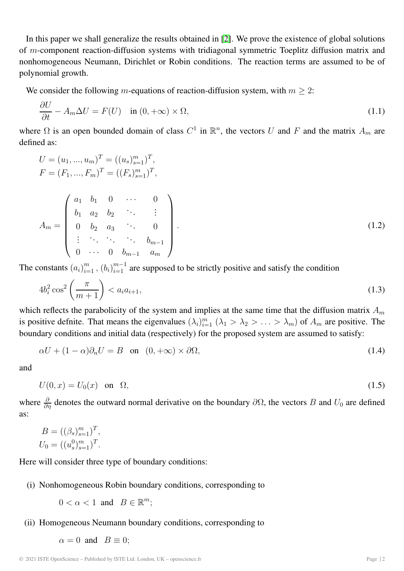In this paper we shall generalize the results obtained in [\[2\]](#page-13-4). We prove the existence of global solutions of m-component reaction-diffusion systems with tridiagonal symmetric Toeplitz diffusion matrix and nonhomogeneous Neumann, Dirichlet or Robin conditions. The reaction terms are assumed to be of polynomial growth.

We consider the following m-equations of reaction-diffusion system, with  $m \geq 2$ :

<span id="page-1-2"></span>
$$
\frac{\partial U}{\partial t} - A_m \Delta U = F(U) \quad \text{in } (0, +\infty) \times \Omega,
$$
\n(1.1)

where  $\Omega$  is an open bounded domain of class  $C^1$  in  $\mathbb{R}^n$ , the vectors U and F and the matrix  $A_m$  are defined as:

<span id="page-1-0"></span>
$$
U = (u_1, ..., u_m)^T = ((u_s)_{s=1}^m)^T,
$$
  
\n
$$
F = (F_1, ..., F_m)^T = ((F_s)_{s=1}^m)^T,
$$
  
\n
$$
A_m = \begin{pmatrix} a_1 & b_1 & 0 & \cdots & 0 \\ b_1 & a_2 & b_2 & \cdots & \vdots \\ 0 & b_2 & a_3 & \cdots & 0 \\ \vdots & \ddots & \ddots & \ddots & b_{m-1} \\ 0 & \cdots & 0 & b_{m-1} & a_m \end{pmatrix}.
$$
\n(1.2)

The constants  $(a_i)_{i=1}^m$ ,  $(b_i)_{i=1}^{m-1}$  are supposed to be strictly positive and satisfy the condition

<span id="page-1-1"></span>
$$
4b_i^2 \cos^2\left(\frac{\pi}{m+1}\right) < a_i a_{i+1},\tag{1.3}
$$

which reflects the parabolicity of the system and implies at the same time that the diffusion matrix  $A_m$ is positive definite. That means the eigenvalues  $(\lambda_i)_{i=1}^m$   $(\lambda_1 > \lambda_2 > \ldots > \lambda_m)$  of  $A_m$  are positive. The boundary conditions and initial data (respectively) for the proposed system are assumed to satisfy:

<span id="page-1-3"></span>
$$
\alpha U + (1 - \alpha)\partial_n U = B \quad \text{on} \quad (0, +\infty) \times \partial\Omega,
$$
\n(1.4)

<span id="page-1-4"></span>and

$$
U(0,x) = U_0(x) \quad \text{on} \quad \Omega,\tag{1.5}
$$

where  $\frac{\partial}{\partial \eta}$  denotes the outward normal derivative on the boundary  $\partial \Omega$ , the vectors B and  $U_0$  are defined as:

$$
B = ((\beta_s)_{s=1}^m)^T,
$$
  

$$
U_0 = ((u_s^0)_{s=1}^m)^T.
$$

Here will consider three type of boundary conditions:

(i) Nonhomogeneous Robin boundary conditions, corresponding to

 $0 < \alpha < 1$  and  $B \in \mathbb{R}^m$ ;

(ii) Homogeneous Neumann boundary conditions, corresponding to

 $\alpha = 0$  and  $B \equiv 0$ ;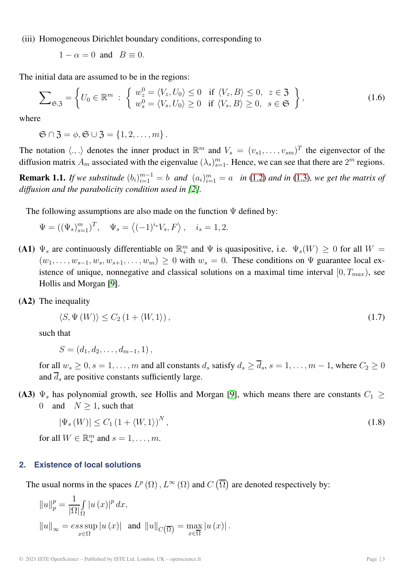(iii) Homogeneous Dirichlet boundary conditions, corresponding to

 $1 - \alpha = 0$  and  $B \equiv 0$ .

The initial data are assumed to be in the regions:

$$
\sum_{\mathfrak{S}, \mathfrak{Z}} = \left\{ U_0 \in \mathbb{R}^m : \begin{cases} w_z^0 = \langle V_z, U_0 \rangle \le 0 & \text{if } \langle V_z, B \rangle \le 0, z \in \mathfrak{Z} \\ w_s^0 = \langle V_s, U_0 \rangle \ge 0 & \text{if } \langle V_s, B \rangle \ge 0, s \in \mathfrak{S} \end{cases} \right\},\tag{1.6}
$$

where

 $\mathfrak{S} \cap \mathfrak{Z} = \emptyset, \mathfrak{S} \cup \mathfrak{Z} = \{1, 2, \ldots, m\}.$ 

The notation  $\langle ., . \rangle$  denotes the inner product in  $\mathbb{R}^m$  and  $V_s = (v_{s1}, \ldots, v_{sm})^T$  the eigenvector of the diffusion matrix  $A_m$  associated with the eigenvalue  $(\lambda_s)_{s=1}^m$ . Hence, we can see that there are  $2^m$  regions.

**Remark 1.1.** If we substitude  $(b_i)_{i=1}^{m-1} = b$  and  $(a_i)_{i=1}^m = a$  in [\(1.2\)](#page-1-0) and in [\(1.3\)](#page-1-1), we get the matrix of *diffusion and the parabolicity condition used in [\[2\]](#page-13-4).*

The following assumptions are also made on the function  $\Psi$  defined by:

$$
\Psi = ((\Psi_s)_{s=1}^m)^T, \quad \Psi_s = \langle (-1)^{i_s} V_s, F \rangle, \quad i_s = 1, 2.
$$

- **(A1)**  $\Psi_s$  are continuously differentiable on  $\mathbb{R}^m_+$  and  $\Psi$  is quasipositive, i.e.  $\Psi_s(W) \geq 0$  for all  $W =$  $(w_1,\ldots,w_{s-1},w_s,w_{s+1},\ldots,w_m) \geq 0$  with  $w_s = 0$ . These conditions on  $\Psi$  guarantee local existence of unique, nonnegative and classical solutions on a maximal time interval  $[0, T_{max})$ , see Hollis and Morgan [\[9\]](#page-13-6).
- **(A2)** The inequality

<span id="page-2-0"></span>
$$
\langle S, \Psi(W) \rangle \le C_2 \left( 1 + \langle W, 1 \rangle \right),\tag{1.7}
$$

such that

$$
S = (d_1, d_2, \ldots, d_{m-1}, 1),
$$

for all  $w_s \ge 0$ ,  $s = 1, \ldots, m$  and all constants  $d_s$  satisfy  $d_s \ge \overline{d}_s$ ,  $s = 1, \ldots, m - 1$ , where  $C_2 \ge 0$ and  $\overline{d}_s$  are positive constants sufficiently large.

**(A3)**  $\Psi_s$  has polynomial growth, see Hollis and Morgan [\[9\]](#page-13-6), which means there are constants  $C_1 \geq$ 0 and  $N \ge 1$ , such that

<span id="page-2-1"></span>
$$
|\Psi_s(W)| \le C_1 \left(1 + \langle W, 1 \rangle\right)^N,\tag{1.8}
$$

for all  $W \in \mathbb{R}^m_+$  and  $s = 1, \ldots, m$ .

#### **2. Existence of local solutions**

The usual norms in the spaces  $L^p(\Omega)$ ,  $L^{\infty}(\Omega)$  and  $C(\overline{\Omega})$  are denoted respectively by:

$$
||u||_{p}^{p} = \frac{1}{|\Omega|} \int_{\Omega} |u(x)|^{p} dx,
$$
  
\n
$$
||u||_{\infty} = \operatorname*{ess\,sup}_{x \in \Omega} |u(x)| \text{ and } ||u||_{C(\overline{\Omega})} = \max_{x \in \overline{\Omega}} |u(x)|.
$$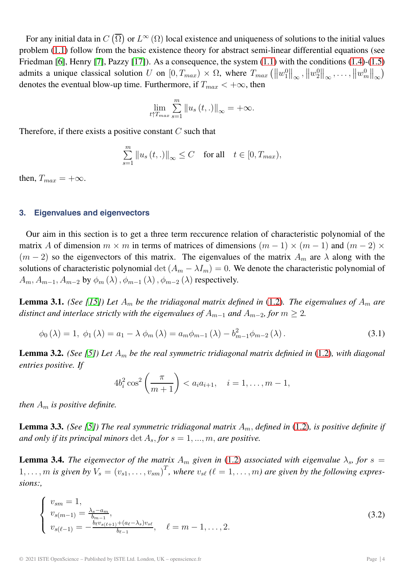For any initial data in  $C(\overline{\Omega})$  or  $L^{\infty}(\Omega)$  local existence and uniqueness of solutions to the initial values problem [\(1.1\)](#page-1-2) follow from the basic existence theory for abstract semi-linear differential equations (see Friedman [\[6\]](#page-13-7), Henry [\[7\]](#page-13-8), Pazzy [\[17\]](#page-14-3)). As a consequence, the system [\(1.1\)](#page-1-2) with the conditions [\(1.4\)](#page-1-3)-[\(1.5\)](#page-1-4) admits a unique classical solution U on  $[0, T_{max}) \times \Omega$ , where  $T_{max} (\|w_1^0\|_{\infty}, \|w_2^0\|_{\infty}, \ldots, \|w_m^0\|_{\infty})$ denotes the eventual blow-up time. Furthermore, if  $T_{max} < +\infty$ , then

$$
\lim_{t \uparrow T_{max}} \sum_{s=1}^{m} \|u_s(t,.)\|_{\infty} = +\infty.
$$

Therefore, if there exists a positive constant  $C$  such that

$$
\sum_{s=1}^{m} \|u_s(t,.)\|_{\infty} \le C \quad \text{for all} \quad t \in [0, T_{\text{max}}),
$$

then,  $T_{max} = +\infty$ .

#### **3. Eigenvalues and eigenvectors**

Our aim in this section is to get a three term reccurence relation of characteristic polynomial of the matrix A of dimension  $m \times m$  in terms of matrices of dimensions  $(m - 1) \times (m - 1)$  and  $(m - 2) \times$  $(m-2)$  so the eigenvectors of this matrix. The eigenvalues of the matrix  $A_m$  are  $\lambda$  along with the solutions of characteristic polynomial det  $(A_m - \lambda I_m) = 0$ . We denote the characteristic polynomial of  $A_m, A_{m-1}, A_{m-2}$  by  $\phi_m(\lambda), \phi_{m-1}(\lambda), \phi_{m-2}(\lambda)$  respectively.

**Lemma 3.1.** *(See [\[15\]](#page-14-4)) Let*  $A_m$  *be the tridiagonal matrix defined in* [\(1.2\)](#page-1-0)*. The eigenvalues of*  $A_m$  *are distinct and interlace strictly with the eigenvalues of*  $A_{m-1}$  *and*  $A_{m-2}$ *, for*  $m \geq 2$ *.* 

$$
\phi_0(\lambda) = 1, \ \phi_1(\lambda) = a_1 - \lambda \ \phi_m(\lambda) = a_m \phi_{m-1}(\lambda) - b_{m-1}^2 \phi_{m-2}(\lambda). \tag{3.1}
$$

**Lemma 3.2.** *(See [\[5\]](#page-13-9)) Let*  $A_m$  *be the real symmetric tridiagonal matrix definied in* [\(1.2\)](#page-1-0)*, with diagonal entries positive. If*

<span id="page-3-0"></span>
$$
4b_i^2 \cos^2\left(\frac{\pi}{m+1}\right) < a_i a_{i+1}, \quad i = 1, \dots, m-1,
$$

*then*  $A_m$  *is positive definite.* 

**Lemma 3.3.** *(See [\[5\]](#page-13-9)) The real symmetric tridiagonal matrix*  $A_m$ *, defined in* [\(1.2\)](#page-1-0)*, is positive definite if and only if its principal minors* det  $A_s$ , *for*  $s = 1, ..., m$ , *are positive.* 

**Lemma 3.4.** *The eigenvector of the matrix*  $A_m$  *given in* [\(1.2\)](#page-1-0) *associated with eigenvalue*  $\lambda_s$ *, for* s = 1,..., m is given by  $V_s = (v_{s1}, \ldots, v_{sm})^T$ , where  $v_{s\ell}$  ( $\ell = 1, \ldots, m$ ) are given by the following expres*sions:,*

$$
\begin{cases}\nv_{sm} = 1, \\
v_{s(m-1)} = \frac{\lambda_s - a_m}{b_{m-1}}, \\
v_{s(\ell-1)} = -\frac{b_\ell v_{s(\ell+1)} + (a_\ell - \lambda_s)v_{s\ell}}{b_{\ell-1}}, \quad \ell = m-1, \dots, 2.\n\end{cases}
$$
\n(3.2)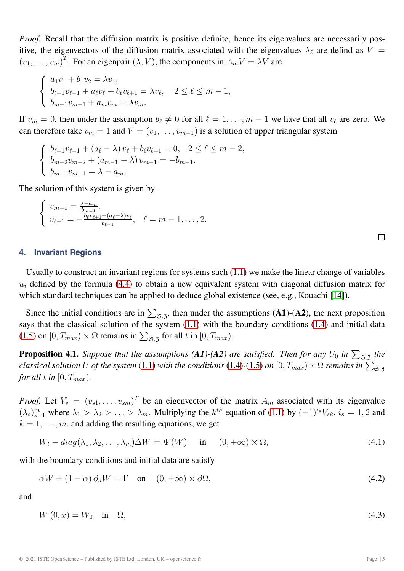*Proof.* Recall that the diffusion matrix is positive definite, hence its eigenvalues are necessarily positive, the eigenvectors of the diffusion matrix associated with the eigenvalues  $\lambda_{\ell}$  are defind as  $V =$  $(v_1, \ldots, v_m)^T$ . For an eigenpair  $(\lambda, V)$ , the components in  $A_m V = \lambda V$  are

$$
\begin{cases} a_1v_1 + b_1v_2 = \lambda v_1, \\ b_{\ell-1}v_{\ell-1} + a_{\ell}v_{\ell} + b_{\ell}v_{\ell+1} = \lambda v_{\ell}, \quad 2 \le \ell \le m-1, \\ b_{m-1}v_{m-1} + a_mv_m = \lambda v_m. \end{cases}
$$

If  $v_m = 0$ , then under the assumption  $b_\ell \neq 0$  for all  $\ell = 1, \ldots, m-1$  we have that all  $v_\ell$  are zero. We can therefore take  $v_m = 1$  and  $V = (v_1, \ldots, v_{m-1})$  is a solution of upper triangular system

$$
\begin{cases} b_{\ell-1}v_{\ell-1} + (a_{\ell} - \lambda)v_{\ell} + b_{\ell}v_{\ell+1} = 0, \quad 2 \leq \ell \leq m-2, \\ b_{m-2}v_{m-2} + (a_{m-1} - \lambda)v_{m-1} = -b_{m-1}, \\ b_{m-1}v_{m-1} = \lambda - a_m. \end{cases}
$$

The solution of this system is given by

$$
\begin{cases} v_{m-1} = \frac{\lambda - a_m}{b_{m-1}}, \\ v_{\ell-1} = -\frac{b_{\ell}v_{\ell+1} + (a_{\ell} - \lambda)v_{\ell}}{b_{\ell-1}}, \quad \ell = m - 1, \ldots, 2. \end{cases}
$$

**4. Invariant Regions**

Usually to construct an invariant regions for systems such [\(1.1\)](#page-1-2) we make the linear change of variables  $u_i$  defined by the formula [\(4.4\)](#page-5-0) to obtain a new equivalent system with diagonal diffusion matrix for which standard techniques can be applied to deduce global existence (see, e.g., Kouachi [\[14\]](#page-14-5)).

Since the initial conditions are in  $\sum_{s=1}^{\infty}$ , then under the assumptions (A1)-(A2), the next proposition says that the classical solution of the system [\(1.1\)](#page-1-2) with the boundary conditions [\(1.4\)](#page-1-3) and initial data [\(1.5\)](#page-1-4) on  $[0, T_{max}) \times \Omega$  remains in  $\sum_{\mathfrak{S}, \mathfrak{Z}}$  for all t in  $[0, T_{max})$ .

**Proposition 4.1.** *Suppose that the assumptions (A1)-(A2) are satisfied. Then for any*  $U_0$  *in*  $\sum_{\mathfrak{S},\mathfrak{Z}}$  *the classical solution* U *of the system* [\(1.1\)](#page-1-2) *with the conditions* [\(1.4\)](#page-1-3)-[\(1.5\)](#page-1-4) *on*  $[0, T_{max}) \times \Omega$  *remains in*  $\sum_{\mathfrak{S}, \mathfrak{Z}}$ *for all* t *in*  $[0, T_{max})$ .

*Proof.* Let  $V_s = (v_{s1}, \ldots, v_{sm})^T$  be an eigenvector of the matrix  $A_m$  associated with its eigenvalue  $(\lambda_s)_{s=1}^m$  where  $\lambda_1 > \lambda_2 > \ldots > \lambda_m$ . Multiplying the  $k^{th}$  equation of [\(1.1\)](#page-1-2) by  $(-1)^{i_s}V_{sk}$ ,  $i_s = 1, 2$  and  $k = 1, \ldots, m$ , and adding the resulting equations, we get

<span id="page-4-0"></span>
$$
W_t - diag(\lambda_1, \lambda_2, \dots, \lambda_m) \Delta W = \Psi(W) \quad \text{in} \quad (0, +\infty) \times \Omega,
$$
\n(4.1)

with the boundary conditions and initial data are satisfy

<span id="page-4-2"></span>
$$
\alpha W + (1 - \alpha) \partial_n W = \Gamma \quad \text{on} \quad (0, +\infty) \times \partial \Omega,
$$
\n(4.2)

<span id="page-4-1"></span>and

$$
W(0, x) = W_0 \quad \text{in} \quad \Omega,\tag{4.3}
$$

 $\Box$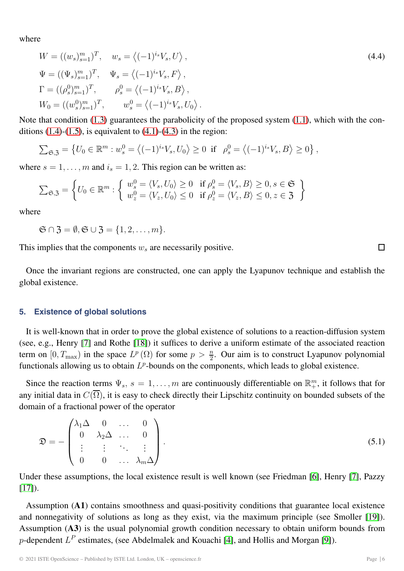where

<span id="page-5-0"></span>
$$
W = ((w_s)_{s=1}^m)^T, \quad w_s = \langle (-1)^{i_s} V_s, U \rangle,
$$
  
\n
$$
\Psi = ((\Psi_s)_{s=1}^m)^T, \quad \Psi_s = \langle (-1)^{i_s} V_s, F \rangle,
$$
  
\n
$$
\Gamma = ((\rho_s^0)_{s=1}^m)^T, \qquad \rho_s^0 = \langle (-1)^{i_s} V_s, B \rangle,
$$
  
\n
$$
W_0 = ((w_s^0)_{s=1}^m)^T, \qquad w_s^0 = \langle (-1)^{i_s} V_s, U_0 \rangle.
$$
\n(4.4)

Note that condition [\(1.3\)](#page-1-1) guarantees the parabolicity of the proposed system [\(1.1\)](#page-1-2), which with the conditions  $(1.4)-(1.5)$  $(1.4)-(1.5)$  $(1.4)-(1.5)$ , is equivalent to  $(4.1)-(4.3)$  $(4.1)-(4.3)$  $(4.1)-(4.3)$  in the region:

$$
\sum_{\mathfrak{S}, \mathfrak{Z}} = \left\{ U_0 \in \mathbb{R}^m : w_s^0 = \left\langle (-1)^{i_s} V_s, U_0 \right\rangle \ge 0 \text{ if } \rho_s^0 = \left\langle (-1)^{i_s} V_s, B \right\rangle \ge 0 \right\},
$$

where  $s = 1, \ldots, m$  and  $i_s = 1, 2$ . This region can be written as:

$$
\sum_{\mathfrak{S}, \mathfrak{Z}} = \left\{ U_0 \in \mathbb{R}^m : \left\{ \begin{array}{l} w_s^0 = \langle V_s, U_0 \rangle \ge 0 & \text{if } \rho_s^0 = \langle V_s, B \rangle \ge 0, s \in \mathfrak{S} \\ w_z^0 = \langle V_z, U_0 \rangle \le 0 & \text{if } \rho_z^0 = \langle V_z, B \rangle \le 0, z \in \mathfrak{Z} \end{array} \right\}
$$

where

 $\mathfrak{S} \cap \mathfrak{Z} = \emptyset, \mathfrak{S} \cup \mathfrak{Z} = \{1, 2, \ldots, m\}.$ 

This implies that the components  $w_s$  are necessarily positive.

Once the invariant regions are constructed, one can apply the Lyapunov technique and establish the global existence.

#### **5. Existence of global solutions**

It is well-known that in order to prove the global existence of solutions to a reaction-diffusion system (see, e.g., Henry [\[7\]](#page-13-8) and Rothe [\[18\]](#page-14-6)) it suffices to derive a uniform estimate of the associated reaction term on  $[0, T_{\text{max}})$  in the space  $L^p(\Omega)$  for some  $p > \frac{n}{2}$ . Our aim is to construct Lyapunov polynomial functionals allowing us to obtain  $L^p$ -bounds on the components, which leads to global existence.

Since the reaction terms  $\Psi_s$ ,  $s = 1, \ldots, m$  are continuously differentiable on  $\mathbb{R}^m_+$ , it follows that for any initial data in  $C(\overline{\Omega})$ , it is easy to check directly their Lipschitz continuity on bounded subsets of the domain of a fractional power of the operator

$$
\mathfrak{D} = -\begin{pmatrix}\n\lambda_1 \Delta & 0 & \dots & 0 \\
0 & \lambda_2 \Delta & \dots & 0 \\
\vdots & \vdots & \ddots & \vdots \\
0 & 0 & \dots & \lambda_m \Delta\n\end{pmatrix}.
$$
\n(5.1)

Under these assumptions, the local existence result is well known (see Friedman [\[6\]](#page-13-7), Henry [\[7\]](#page-13-8), Pazzy  $[17]$ ).

Assumption (**A1**) contains smoothness and quasi-positivity conditions that guarantee local existence and nonnegativity of solutions as long as they exist, via the maximum principle (see Smoller [\[19\]](#page-14-7)). Assumption (**A3**) is the usual polynomial growth condition necessary to obtain uniform bounds from p-dependent  $L^P$  estimates, (see Abdelmalek and Kouachi [\[4\]](#page-13-3), and Hollis and Morgan [\[9\]](#page-13-6)).

П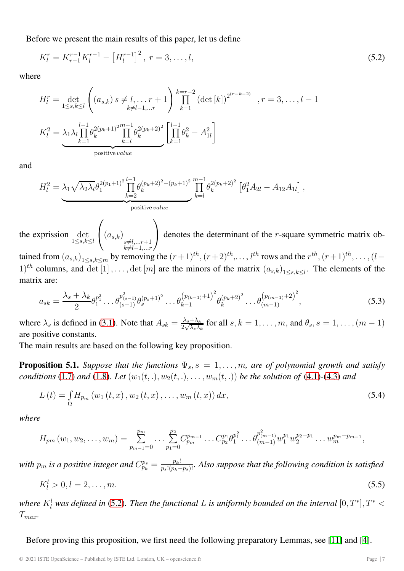Before we present the main results of this paper, let us define

<span id="page-6-0"></span>
$$
K_l^r = K_{r-1}^{r-1} K_l^{r-1} - \left[ H_l^{r-1} \right]^2, \ r = 3, \dots, l,
$$
\n
$$
(5.2)
$$

where

$$
H_l^r = \det_{1 \le s, k \le l} \left( (a_{s,k}) s \neq l, \dots, r+1 \right) \prod_{k=1}^{k=r-2} \left( \det[k] \right)^{2^{(r-k-2)}} , r = 3, \dots, l-1
$$
  

$$
K_l^2 = \lambda_1 \lambda_l \prod_{k=1}^{l-1} \theta_k^{2(p_k+1)^2} \prod_{k=l}^{m-1} \theta_k^{2(p_k+2)^2} \left[ \prod_{k=1}^{l-1} \theta_k^2 - A_{1l}^2 \right]
$$
  
positive value

and

$$
H_l^2 = \lambda_1 \sqrt{\lambda_2 \lambda_l} \theta_1^{2(p_1+1)^2} \prod_{k=2}^{l-1} \theta_k^{(p_k+2)^2 + (p_k+1)^2} \prod_{k=l}^{m-1} \theta_k^{2(p_k+2)^2} \left[ \theta_1^2 A_{2l} - A_{12} A_{1l} \right],
$$
  
positive value

the exprission det  $1\leq s,k\leq l$  $\sqrt{ }$  $\left\{\left(a_{s,k}\right)\underset{\substack{s\neq l,\dots,r+1\\l\neq l}}$  $k\neq l-1,\ldots r$  $\setminus$  $\int$  denotes the determinant of the *r*-square symmetric matrix ob-

tained from  $(a_{s,k})_{1\leq s,k\leq m}$  by removing the  $(r+1)^{th}$ ,  $(r+2)^{th}$ ,...,  $l^{th}$  rows and the  $r^{th}$ ,  $(r+1)^{th}$ ,...,  $(l-\frac{1}{r})$  $(1)^{th}$  columns, and  $\det[1], \ldots, \det[m]$  are the minors of the matrix  $(a_{s,k})_{1 \leq s,k \leq l}$ . The elements of the matrix are:

<span id="page-6-3"></span>
$$
a_{sk} = \frac{\lambda_s + \lambda_k}{2} \theta_1^{p_1^2} \dots \theta_{(s-1)}^{p_{(s-1)}^2} \theta_s^{(p_s+1)^2} \dots \theta_{k-1}^{(p_{(k-1)}+1)^2} \theta_k^{(p_k+2)^2} \dots \theta_{(m-1)}^{(p_{(m-1)}+2)^2},
$$
\n(5.3)

where  $\lambda_s$  is defined in [\(3.1\)](#page-3-0). Note that  $A_{sk} = \frac{\lambda_s + \lambda_k}{2\sqrt{\lambda_s \lambda_k}}$  for all  $s, k = 1, \ldots, m$ , and  $\theta_s, s = 1, \ldots, (m-1)$ are positive constants.

The main results are based on the following key proposition.

<span id="page-6-2"></span>**Proposition 5.1.** *Suppose that the functions*  $\Psi_s$ ,  $s = 1, \ldots, m$ *, are of polynomial growth and satisfy conditions* [\(1.7\)](#page-2-0) *and* [\(1.8\)](#page-2-1)*. Let*  $(w_1(t, .), w_2(t, .), \ldots, w_m(t, .))$  *be the solution of* [\(4.1\)](#page-4-0)-[\(4.3\)](#page-4-1) *and* 

<span id="page-6-1"></span>
$$
L(t) = \int_{\Omega} H_{p_m}(w_1(t, x), w_2(t, x), \dots, w_m(t, x)) dx,
$$
\n(5.4)

*where*

$$
H_{pm}(w_1, w_2, \ldots, w_m) = \sum_{p_{m-1}=0}^{p_m} \ldots \sum_{p_1=0}^{p_2} C_{p_m}^{p_{m-1}} \ldots C_{p_2}^{p_1} \theta_1^{p_1^2} \ldots \theta_{(m-1)}^{p_{m-1}^2} w_1^{p_1} w_2^{p_2-p_1} \ldots w_m^{p_m-p_{m-1}},
$$

with  $p_m$  is a positive integer and  $C_{p_k}^{p_s} = \frac{p_k!}{p_s!(p_k-p_s)!}$ . Also suppose that the following condition is satisfied

<span id="page-6-4"></span>
$$
K_l^l > 0, l = 2, \dots, m. \tag{5.5}
$$

where  $K^l_l$  was defined in [\(5.2\)](#page-6-0). Then the functional L is uniformly bounded on the interval  $[0,T^*], T^* <$  $T_{max}$ .

Before proving this proposition, we first need the following preparatory Lemmas, see [\[11\]](#page-13-0) and [\[4\]](#page-13-3).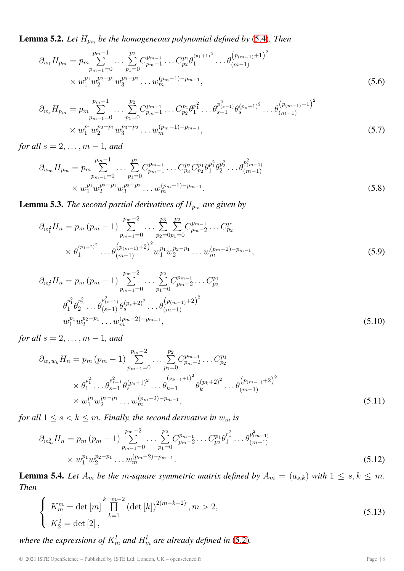<span id="page-7-0"></span>**Lemma 5.2.** Let  $H_{p_m}$  be the homogeneous polynomial defined by [\(5.4\)](#page-6-1). Then

$$
\partial_{w_1} H_{p_m} = p_m \sum_{p_{m-1}=0}^{p_m-1} \dots \sum_{p_1=0}^{p_2} C_{p_m-1}^{p_{m-1}} \dots C_{p_2}^{p_1} \theta_1^{(p_1+1)^2} \dots \theta_{(m-1)}^{(p_{(m-1)}+1)^2}
$$
  
 
$$
\times w_1^{p_1} w_2^{p_2-p_1} w_3^{p_3-p_2} \dots w_m^{(p_m-1)-p_{m-1}},
$$
 (5.6)

$$
\partial_{w_s} H_{p_m} = p_m \sum_{p_{m-1}=0}^{p_m-1} \dots \sum_{p_1=0}^{p_2} C_{p_m-1}^{p_{m-1}} \dots C_{p_2}^{p_1} \theta_1^{p_1^2} \dots \theta_{s-1}^{p_{(s-1)}^2} \theta_s^{(p_s+1)^2} \dots \theta_{(m-1)}^{(p_{(m-1)}+1)^2}
$$
  
 
$$
\times w_1^{p_1} w_2^{p_2-p_1} w_3^{p_3-p_2} \dots w_m^{(p_m-1)-p_{m-1}},
$$
 (5.7)

*for all*  $s = 2, ..., m - 1$ *, and* 

$$
\partial_{w_m} H_{p_m} = p_m \sum_{p_{m-1}=0}^{p_m-1} \dots \sum_{p_1=0}^{p_2} C_{p_m-1}^{p_{m-1}} \dots C_{p_3}^{p_2} C_{p_2}^{p_1} \theta_1^{p_2^2} \dots \theta_{(m-1)}^{p_{(m-1)}^2}
$$
\n
$$
\times w_1^{p_1} w_2^{p_2 - p_1} w_3^{p_3 - p_2} \dots w_m^{(p_m - 1) - p_{m-1}}.
$$
\n(5.8)

<span id="page-7-1"></span>**Lemma 5.3.** *The second partial derivatives of*  $H_{p_m}$  *are given by* 

$$
\partial_{w_1^2} H_n = p_m (p_m - 1) \sum_{p_{m-1}=0}^{p_m-2} \dots \sum_{p_2=0}^{p_3} \sum_{p_1=0}^{p_2} C_{p_m-2}^{p_{m-1}} \dots C_{p_2}^{p_1}
$$
  
 
$$
\times \theta_1^{(p_1+2)^2} \dots \theta_{(m-1)}^{(p_{(m-1)}+2)^2} w_1^{p_1} w_2^{p_2-p_1} \dots w_m^{(p_m-2)-p_{m-1}},
$$
 (5.9)

$$
\partial_{w_s^2} H_n = p_m (p_m - 1) \sum_{p_{m-1}=0}^{p_m-2} \dots \sum_{p_1=0}^{p_2} C_{p_m-2}^{p_{m-1}} \dots C_{p_2}^{p_1}
$$
  
\n
$$
\theta_1^{p_1^2} \theta_2^{p_2^2} \dots \theta_{(s-1)}^{p_{(s-1)}^2} \theta_s^{(p_s+2)^2} \dots \theta_{(m-1)}^{(p_{(m-1)}+2)^2}
$$
  
\n
$$
w_1^{p_1} w_2^{p_2 - p_1} \dots w_m^{(p_m-2)-p_{m-1}},
$$
\n(5.10)

*for all*  $s = 2, ..., m - 1$ *, and* 

$$
\partial_{w_s w_k} H_n = p_m (p_m - 1) \sum_{p_{m-1}=0}^{p_m-2} \dots \sum_{p_1=0}^{p_2} C_{p_m-2}^{p_{m-1}} \dots C_{p_2}^{p_1}
$$
\n
$$
\times \theta_1^{p_1^2} \dots \theta_{s-1}^{p_{s-1}^2} \theta_s^{(p_s+1)^2} \dots \theta_{k-1}^{(p_{k-1}+1)^2} \theta_k^{(p_k+2)^2} \dots \theta_{(m-1)}^{(p_{(m-1)}+2)^2}
$$
\n
$$
\times w_1^{p_1} w_2^{p_2 - p_1} \dots w_m^{(p_m-2) - p_{m-1}},
$$
\n(5.11)

*for all*  $1 \leq s < k \leq m$ *. Finally, the second derivative in*  $w_m$  *is* 

$$
\partial_{w_m^2} H_n = p_m (p_m - 1) \sum_{p_{m-1}=0}^{p_m-2} \dots \sum_{p_1=0}^{p_2} C_{p_m-2}^{p_{m-1}} \dots C_{p_2}^{p_1} \theta_1^{p_1^2} \dots \theta_{(m-1)}^{p_{(m-1)}^2}
$$
  
×  $w_1^{p_1} w_2^{p_2 - p_1} \dots w_m^{(p_m-2)-p_{m-1}}$ . (5.12)

<span id="page-7-2"></span>**Lemma 5.4.** Let  $A_m$  be the m-square symmetric matrix defined by  $A_m = (a_{s,k})$  with  $1 \leq s, k \leq m$ . *Then*

$$
\begin{cases} K_m^m = \det\left[m\right] \prod_{k=1}^{k=m-2} \left(\det\left[k\right]\right)^{2(m-k-2)}, m > 2, \\ K_2^2 = \det\left[2\right], \end{cases} \tag{5.13}
$$

where the expressions of  $K_m^l$  and  $H_m^l$  are already defined in [\(5.2\)](#page-6-0).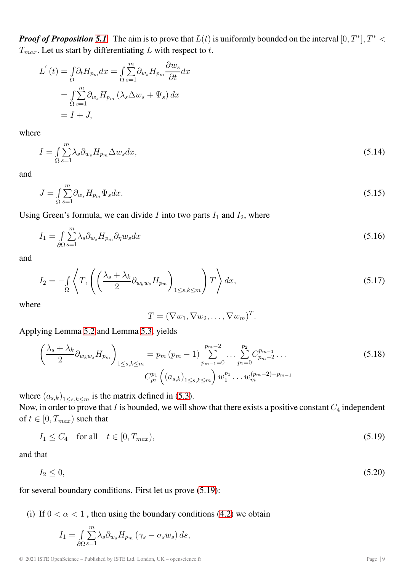*Proof of Proposition* [5.1](#page-6-2). The aim is to prove that  $L(t)$  is uniformly bounded on the interval  $[0, T^*]$ ,  $T^*$  <  $T_{max}$ . Let us start by differentiating L with respect to t.

$$
L'(t) = \int_{\Omega} \partial_t H_{p_m} dx = \int_{\Omega} \sum_{s=1}^m \partial_{w_s} H_{p_m} \frac{\partial w_s}{\partial t} dx
$$
  
= 
$$
\int_{\Omega} \sum_{s=1}^m \partial_{w_s} H_{p_m} (\lambda_s \Delta w_s + \Psi_s) dx
$$
  
= 
$$
I + J,
$$

where

$$
I = \int_{\Omega} \sum_{s=1}^{m} \lambda_s \partial_{w_s} H_{p_m} \Delta w_s dx,
$$
\n(5.14)

<span id="page-8-3"></span>and

$$
J = \int_{\Omega} \sum_{s=1}^{m} \partial_{w_s} H_{p_m} \Psi_s dx.
$$
\n(5.15)

Using Green's formula, we can divide  $I$  into two parts  $I_1$  and  $I_2$ , where

$$
I_1 = \int_{\partial\Omega} \sum_{s=1}^m \lambda_s \partial_{w_s} H_{p_m} \partial_{\eta} w_s dx \tag{5.16}
$$

and

$$
I_2 = -\int_{\Omega} \left\langle T, \left( \left( \frac{\lambda_s + \lambda_k}{2} \partial_{w_k w_s} H_{p_m} \right)_{1 \le s, k \le m} \right) T \right\rangle dx, \tag{5.17}
$$

where

<span id="page-8-1"></span>
$$
T = (\nabla w_1, \nabla w_2, \dots, \nabla w_m)^T.
$$

Applying Lemma [5.2](#page-7-0) and Lemma [5.3,](#page-7-1) yields

$$
\left(\frac{\lambda_s + \lambda_k}{2} \partial_{w_k w_s} H_{p_m}\right)_{1 \le s, k \le m} = p_m (p_m - 1) \sum_{p_{m-1}=0}^{p_m-2} \dots \sum_{p_1=0}^{p_2} C_{p_m-2}^{p_{m-1}} \dots
$$
\n
$$
C_{p_2}^{p_1} \left( (a_{s,k})_{1 \le s, k \le m} \right) w_1^{p_1} \dots w_m^{(p_m-2)-p_{m-1}}
$$
\n(5.18)

where  $(a_{s,k})_{1\leq s,k\leq m}$  is the matrix defined in [\(5.3\)](#page-6-3).

Now, in order to prove that I is bounded, we will show that there exists a positive constant  $C_4$  independent of  $t \in [0, T_{max})$  such that

<span id="page-8-0"></span>
$$
I_1 \le C_4 \quad \text{for all} \quad t \in [0, T_{max}),\tag{5.19}
$$

and that

<span id="page-8-2"></span>
$$
I_2 \le 0,\tag{5.20}
$$

for several boundary conditions. First let us prove [\(5.19\)](#page-8-0):

(i) If  $0 < \alpha < 1$ , then using the boundary conditions [\(4.2\)](#page-4-2) we obtain

$$
I_1 = \int_{\partial\Omega} \sum_{s=1}^m \lambda_s \partial_{w_s} H_{p_m} (\gamma_s - \sigma_s w_s) ds,
$$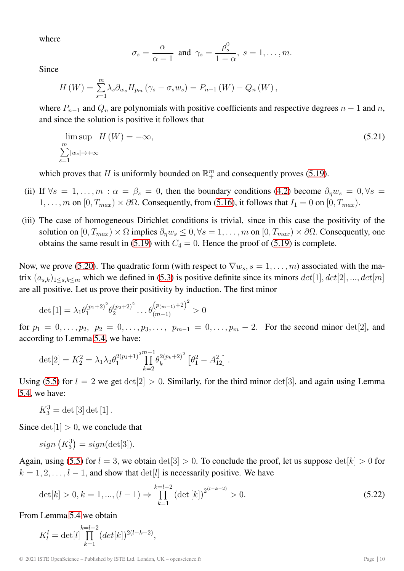where

$$
\sigma_s = \frac{\alpha}{\alpha - 1}
$$
 and  $\gamma_s = \frac{\rho_s^0}{1 - \alpha}$ ,  $s = 1, ..., m$ .

Since

$$
H(W) = \sum_{s=1}^{m} \lambda_s \partial_{w_s} H_{p_m} (\gamma_s - \sigma_s w_s) = P_{n-1}(W) - Q_n(W),
$$

where  $P_{n-1}$  and  $Q_n$  are polynomials with positive coefficients and respective degrees  $n-1$  and n, and since the solution is positive it follows that

$$
\lim_{\substack{m \\ \sum_{s=1}^{m} |w_s| \to +\infty}} H(W) = -\infty,
$$
\n(5.21)

which proves that H is uniformly bounded on  $\mathbb{R}^m_+$  and consequently proves [\(5.19\)](#page-8-0).

- (ii) If  $\forall s = 1, \ldots, m : \alpha = \beta_s = 0$ , then the boundary conditions [\(4.2\)](#page-4-2) become  $\partial_n w_s = 0, \forall s = 1$  $1, \ldots, m$  on  $[0, T_{max}) \times \partial \Omega$ . Consequently, from [\(5.16\)](#page-8-1), it follows that  $I_1 = 0$  on  $[0, T_{max})$ .
- (iii) The case of homogeneous Dirichlet conditions is trivial, since in this case the positivity of the solution on  $[0, T_{max}) \times \Omega$  implies  $\partial_{\eta} w_s \leq 0, \forall s = 1, \ldots, m$  on  $[0, T_{max}) \times \partial \Omega$ . Consequently, one obtains the same result in [\(5.19\)](#page-8-0) with  $C_4 = 0$ . Hence the proof of (5.19) is complete.

Now, we prove [\(5.20\)](#page-8-2). The quadratic form (with respect to  $\nabla w_s$ ,  $s = 1, \ldots, m$ ) associated with the matrix  $(a_{s,k})_{1\leq s,k\leq m}$  which we defined in [\(5.3\)](#page-6-3) is positive definite since its minors  $det[1], det[2], ..., det[m]$ are all positive. Let us prove their positivity by induction. The first minor

$$
\det [1] = \lambda_1 \theta_1^{(p_1+2)^2} \theta_2^{(p_2+2)^2} \dots \theta_{(m-1)}^{(p_{(m-1)}+2)^2} > 0
$$

for  $p_1 = 0, \ldots, p_2, p_2 = 0, \ldots, p_3, \ldots, p_{m-1} = 0, \ldots, p_m - 2$ . For the second minor det[2], and according to Lemma [5.4,](#page-7-2) we have:

$$
\det[2] = K_2^2 = \lambda_1 \lambda_2 \theta_1^{2(p_1+1)^2} \prod_{k=2}^{m-1} \theta_k^{2(p_k+2)^2} \left[ \theta_1^2 - A_{12}^2 \right].
$$

Using [\(5.5\)](#page-6-4) for  $l = 2$  we get  $det[2] > 0$ . Similarly, for the third minor  $det[3]$ , and again using Lemma [5.4,](#page-7-2) we have:

 $K_3^3 = \det [3] \det [1].$ 

Since  $det[1] > 0$ , we conclude that

$$
sign\left(K_3^3\right) = sign(\det[3]).
$$

Again, using [\(5.5\)](#page-6-4) for  $l = 3$ , we obtain  $det[3] > 0$ . To conclude the proof, let us suppose  $det[k] > 0$  for  $k = 1, 2, \ldots, l - 1$ , and show that  $\det[l]$  is necessarily positive. We have

<span id="page-9-0"></span>
$$
\det[k] > 0, k = 1, ..., (l-1) \Rightarrow \prod_{k=1}^{k=l-2} \left(\det[k]\right)^{2^{(l-k-2)}} > 0.
$$
\n(5.22)

From Lemma [5.4](#page-7-2) we obtain

$$
K_l^l = \det[l] \prod_{k=1}^{k=l-2} (det[k])^{2(l-k-2)},
$$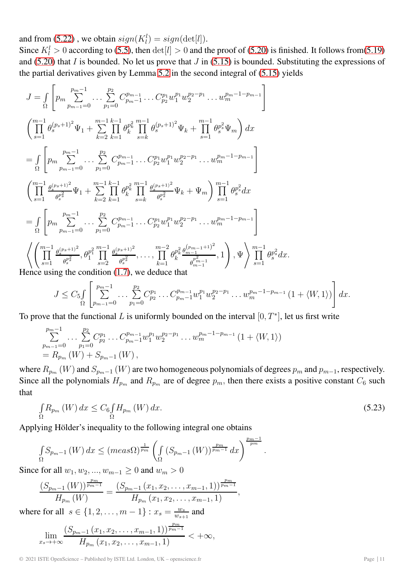and from [\(5.22\)](#page-9-0), we obtain  $sign(K_l^l) = sign(det[l])$ .

Since  $K_l^l > 0$  according to [\(5.5\)](#page-6-4), then  $det[l] > 0$  and the proof of [\(5.20\)](#page-8-2) is finished. It follows from[\(5.19\)](#page-8-0) and [\(5.20\)](#page-8-2) that I is bounded. No let us prove that  $J$  in [\(5.15\)](#page-8-3) is bounded. Substituting the expressions of the partial derivatives given by Lemma [5.2](#page-7-0) in the second integral of [\(5.15\)](#page-8-3) yields

$$
J = \int_{\Omega} \left[ p_m \sum_{p_{m-1}=0}^{p_m-1} \dots \sum_{p_1=0}^{p_2} C_{p_{m-1}}^{p_{m-1}} \dots C_{p_2}^{p_1} w_1^{p_1} w_2^{p_2-p_1} \dots w_m^{p_m-1-p_{m-1}} \right]
$$
  
\n
$$
\left( \prod_{s=1}^{m-1} \theta_s^{(p_s+1)^2} \Psi_1 + \sum_{k=2}^{m-1} \prod_{k=1}^{k-1} \theta_k^{p_k^2} \prod_{s=k}^{m-1} \theta_s^{(p_s+1)^2} \Psi_k + \prod_{s=1}^{m-1} \theta_s^{p_s^2} \Psi_m \right) dx
$$
  
\n
$$
= \int_{\Omega} \left[ p_m \sum_{p_{m-1}=0}^{p_m-1} \dots \sum_{p_1=0}^{p_2} C_{p_m-1}^{p_{m-1}} \dots C_{p_2}^{p_1} w_1^{p_1} w_2^{p_2-p_1} \dots w_m^{p_m-1-p_{m-1}} \right]
$$
  
\n
$$
\left( \prod_{s=1}^{m-1} \frac{\theta_s^{(p_s+1)^2}}{\theta_s^{p_s^2}} \Psi_1 + \sum_{k=2}^{m-1} \prod_{k=1}^{k-1} \theta_k^{p_k^2} \prod_{s=k}^{m-1} \frac{\theta_s^{(p_s+1)^2}}{\theta_s^{p_s^2}} \Psi_k + \Psi_m \right) \prod_{s=1}^{m-1} \theta_s^{p_s^2} dx
$$
  
\n
$$
= \int_{\Omega} \left[ p_m \sum_{p_{m-1}=0}^{p_m-1} \dots \sum_{p_1=0}^{p_2} C_{p_{m-1}}^{p_{m-1}} \dots C_{p_2}^{p_1} w_1^{p_1} w_2^{p_2-p_1} \dots w_m^{p_m-1-p_{m-1}} \right]
$$
  
\n
$$
\left\langle \left( \prod_{s=1}^{m-1} \frac{\theta_s^{(p_s+1)^2}}{\theta_s^{p_s^2}}, \theta_1^{p_1^2} \prod_{s=2}^{m-1} \frac{\theta_s^{(p_s+1)^2}}{\theta_s^{p_s^2}}, \dots, \prod_{k=1}^{m-2} \theta_k^{p_k^2} \
$$

$$
J \leq C_5 \int\limits_{\Omega} \left[ \sum_{p_{m-1}=0}^{p_m-1} \ldots \sum_{p_1=0}^{p_2} C_{p_2}^{p_1} \ldots C_{p_m-1}^{p_{m-1}} w_1^{p_1} w_2^{p_2-p_1} \ldots w_m^{p_m-1-p_{m-1}} \left( 1 + \langle W, 1 \rangle \right) \right] dx.
$$

To prove that the functional L is uniformly bounded on the interval  $[0, T^*]$ , let us first write

$$
\sum_{p_{m-1}=0}^{p_m-1} \dots \sum_{p_1=0}^{p_2} C_{p_2}^{p_1} \dots C_{p_m-1}^{p_{m-1}} w_1^{p_1} w_2^{p_2-p_1} \dots w_m^{p_m-1-p_{m-1}} (1 + \langle W, 1 \rangle)
$$
  
=  $R_{p_m}(W) + S_{p_m-1}(W)$ ,

where  $R_{p_m}(W)$  and  $S_{p_m-1}(W)$  are two homogeneous polynomials of degrees  $p_m$  and  $p_{m-1}$ , respectively. Since all the polynomials  $H_{p_m}$  and  $R_{p_m}$  are of degree  $p_m$ , then there exists a positive constant  $C_6$  such that

$$
\int_{\Omega} R_{p_m}(W) dx \le C_6 \int_{\Omega} H_{p_m}(W) dx.
$$
\n(5.23)

.

Applying Hölder's inequality to the following integral one obtains

$$
\int_{\Omega} S_{p_{m}-1} (W) dx \leq (meas \Omega)^{\frac{1}{p_{m}}} \left( \int_{\Omega} (S_{p_{m}-1} (W))^{\frac{p_{m}}{p_{m}-1}} dx \right)^{\frac{p_{m}-1}{p_{m}}}
$$

Since for all  $w_1, w_2, ..., w_{m-1} \geq 0$  and  $w_m > 0$ 

$$
\frac{(S_{p_m-1}(W))^\frac{p_m}{p_m-1}}{H_{p_m}(W)}=\frac{(S_{p_m-1}(x_1,x_2,\ldots,x_{m-1},1))^\frac{p_m}{p_m-1}}{H_{p_m}(x_1,x_2,\ldots,x_{m-1},1)},
$$

where for all  $s \in \{1, 2, ..., m-1\}$ :  $x_s = \frac{w_s}{w_{s+1}}$  and

$$
\lim_{x_s \to +\infty} \frac{(S_{p_m-1}(x_1, x_2, \dots, x_{m-1}, 1))^{\frac{p_m}{p_m-1}}}{H_{p_m}(x_1, x_2, \dots, x_{m-1}, 1)} < +\infty,
$$

© 2021 ISTE OpenScience – Published by ISTE Ltd. London, UK – openscience.fr Page | 11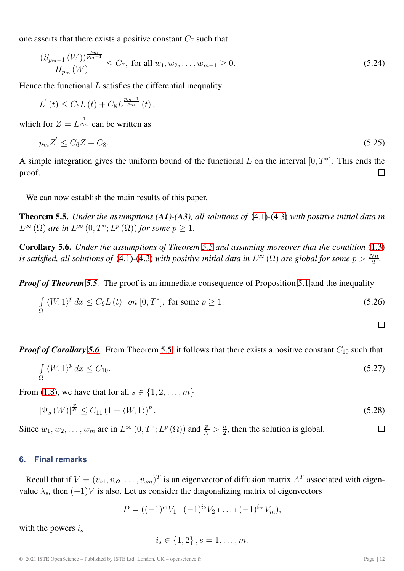one asserts that there exists a positive constant  $C_7$  such that

$$
\frac{(S_{p_m-1}(W))^{\frac{p_m}{p_m-1}}}{H_{p_m}(W)} \le C_7, \text{ for all } w_1, w_2, \dots, w_{m-1} \ge 0.
$$
\n(5.24)

Hence the functional  $L$  satisfies the differential inequality

$$
L^{'}(t) \leq C_6 L(t) + C_8 L^{\frac{pm-1}{pm}}(t) ,
$$

which for  $Z = L^{\frac{1}{p_m}}$  can be written as

$$
p_m Z' \le C_6 Z + C_8. \tag{5.25}
$$

A simple integration gives the uniform bound of the functional L on the interval  $[0, T^*]$ . This ends the proof. П

We can now establish the main results of this paper.

<span id="page-11-0"></span>**Theorem 5.5.** *Under the assumptions (A1)-(A3), all solutions of* [\(4.1\)](#page-4-0)*-*[\(4.3\)](#page-4-1) *with positive initial data in*  $L^{\infty}(\Omega)$  *are in*  $L^{\infty}(0,T^*;L^p(\Omega))$  *for some*  $p \geq 1$ *.* 

<span id="page-11-1"></span>**Corollary 5.6.** *Under the assumptions of Theorem [5.5](#page-11-0) and assuming moreover that the condition* [\(1.3\)](#page-1-1) *is satisfied, all solutions of* [\(4.1\)](#page-4-0)-[\(4.3\)](#page-4-1) *with positive initial data in*  $L^{\infty}(\Omega)$  *are global for some*  $p > \frac{Nn}{2}$ *.* 

*Proof of Theorem [5.5](#page-11-0).* The proof is an immediate consequence of Proposition [5.1](#page-6-2) and the inequality

$$
\int_{\Omega} \langle W, 1 \rangle^{p} dx \le C_{9}L(t) \quad on \ [0, T^{*}], \text{ for some } p \ge 1.
$$
\n
$$
(5.26)
$$

*Proof of Corollary* [5.6](#page-11-1). From Theorem [5.5,](#page-11-0) it follows that there exists a positive constant  $C_{10}$  such that

$$
\int_{\Omega} \langle W, 1 \rangle^p dx \le C_{10}.\tag{5.27}
$$

From [\(1.8\)](#page-2-1), we have that for all  $s \in \{1, 2, \ldots, m\}$ 

$$
|\Psi_s(W)|^{\frac{p}{N}} \le C_{11} (1 + \langle W, 1 \rangle)^p. \tag{5.28}
$$

Since  $w_1, w_2, \ldots, w_m$  are in  $L^{\infty}(0, T^*; L^p(\Omega))$  and  $\frac{p}{N} > \frac{n}{2}$ , then the solution is global.  $\Box$ 

#### **6. Final remarks**

Recall that if  $V = (v_{s1}, v_{s2}, \dots, v_{sm})^T$  is an eigenvector of diffusion matrix  $A^T$  associated with eigenvalue  $\lambda_s$ , then  $(-1)V$  is also. Let us consider the diagonalizing matrix of eigenvectors

$$
P = ((-1)^{i_1}V_1 + (-1)^{i_2}V_2 + \ldots + (-1)^{i_m}V_m),
$$

with the powers  $i_s$ 

$$
i_s \in \{1, 2\}, s = 1, \dots, m.
$$

 $\Box$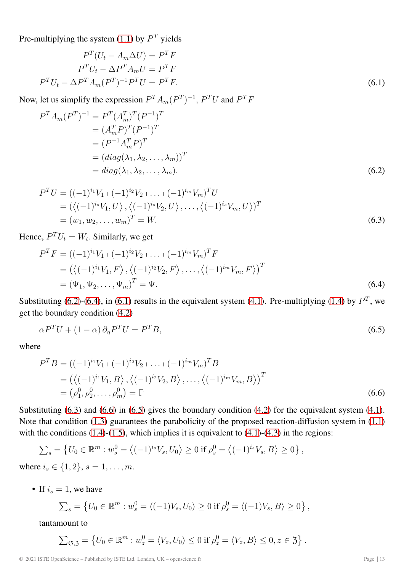Pre-multiplying the system [\(1.1\)](#page-1-2) by  $P<sup>T</sup>$  yields

<span id="page-12-2"></span>
$$
PT(Ut - Am\Delta U) = PTF
$$
  
\n
$$
PTUt - \Delta PT Am U = PTF
$$
  
\n
$$
PTUt - \Delta PT Am(PT)-1 PT U = PTF.
$$
\n(6.1)

Now, let us simplify the expression  $P^T A_m (P^T)^{-1}$ ,  $P^T U$  and  $P^T F$ 

$$
P^{T} A_{m} (P^{T})^{-1} = P^{T} (A_{m}^{T})^{T} (P^{-1})^{T}
$$
  
=  $(A_{m}^{T} P)^{T} (P^{-1})^{T}$   
=  $(P^{-1} A_{m}^{T} P)^{T}$   
=  $(diag(\lambda_{1}, \lambda_{2}, ..., \lambda_{m}))^{T}$   
=  $diag(\lambda_{1}, \lambda_{2}, ..., \lambda_{m}).$  (6.2)

<span id="page-12-3"></span><span id="page-12-0"></span>
$$
P^{T}U = ((-1)^{i_{1}}V_{1} + (-1)^{i_{2}}V_{2} + \dots + (-1)^{i_{m}}V_{m})^{T}U
$$
  
=  $(\langle (-1)^{i_{s}}V_{1}, U \rangle, \langle (-1)^{i_{s}}V_{2}, U \rangle, \dots, \langle (-1)^{i_{s}}V_{m}, U \rangle)^{T}$   
=  $(w_{1}, w_{2}, \dots, w_{m})^{T} = W.$  (6.3)

Hence,  $P^{T}U_{t} = W_{t}$ . Similarly, we get

<span id="page-12-1"></span>
$$
P^{T}F = ((-1)^{i_{1}}V_{1} + (-1)^{i_{2}}V_{2} + \dots + (-1)^{i_{m}}V_{m})^{T}F
$$
  
=  $(\langle (-1)^{i_{1}}V_{1}, F \rangle, \langle (-1)^{i_{2}}V_{2}, F \rangle, \dots, \langle (-1)^{i_{m}}V_{m}, F \rangle)^{T}$   
=  $(\Psi_{1}, \Psi_{2}, \dots, \Psi_{m})^{T} = \Psi.$  (6.4)

Substituting [\(6.2\)](#page-12-0)-[\(6.4\)](#page-12-1), in [\(6.1\)](#page-12-2) results in the equivalent system [\(4.1\)](#page-4-0). Pre-multiplying [\(1.4\)](#page-1-3) by  $P<sup>T</sup>$ , we get the boundary condition [\(4.2\)](#page-4-2)

<span id="page-12-5"></span>
$$
\alpha P^T U + (1 - \alpha) \partial_{\eta} P^T U = P^T B,\tag{6.5}
$$

where

<span id="page-12-4"></span>
$$
P^T B = ((-1)^{i_1} V_1 + (-1)^{i_2} V_2 + \dots + (-1)^{i_m} V_m)^T B
$$
  
=  $(\langle (-1)^{i_1} V_1, B \rangle, \langle (-1)^{i_2} V_2, B \rangle, \dots, \langle (-1)^{i_m} V_m, B \rangle)^T$   
=  $(\rho_1^0, \rho_2^0, \dots, \rho_m^0) = \Gamma$  (6.6)

Substituting [\(6.3\)](#page-12-3) and [\(6.6\)](#page-12-4) in [\(6.5\)](#page-12-5) gives the boundary condition [\(4.2\)](#page-4-2) for the equivalent system [\(4.1\)](#page-4-0). Note that condition [\(1.3\)](#page-1-1) guarantees the parabolicity of the proposed reaction-diffusion system in [\(1.1\)](#page-1-2) with the conditions  $(1.4)-(1.5)$  $(1.4)-(1.5)$  $(1.4)-(1.5)$ , which implies it is equivalent to  $(4.1)-(4.3)$  $(4.1)-(4.3)$  $(4.1)-(4.3)$  in the regions:

$$
\sum_{s} = \left\{ U_0 \in \mathbb{R}^m : w_s^0 = \left\langle (-1)^{i_s} V_s, U_0 \right\rangle \ge 0 \text{ if } \rho_s^0 = \left\langle (-1)^{i_s} V_s, B \right\rangle \ge 0 \right\},\
$$

where  $i_s \in \{1, 2\}, s = 1, \ldots, m$ .

• If  $i_s = 1$ , we have

$$
\sum_{s} = \left\{ U_0 \in \mathbb{R}^m : w_s^0 = \langle (-1)V_s, U_0 \rangle \ge 0 \text{ if } \rho_s^0 = \langle (-1)V_s, B \rangle \ge 0 \right\},\
$$

tantamount to

$$
\sum_{\mathfrak{S}, \mathfrak{Z}} = \left\{ U_0 \in \mathbb{R}^m : w_z^0 = \langle V_z, U_0 \rangle \le 0 \text{ if } \rho_z^0 = \langle V_z, B \rangle \le 0, z \in \mathfrak{Z} \right\}.
$$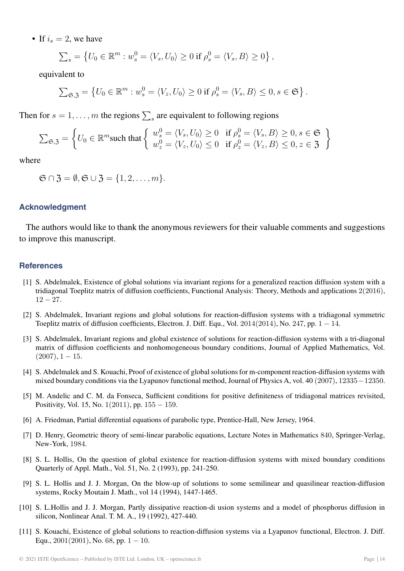• If  $i_s = 2$ , we have

$$
\sum_{s} = \left\{ U_0 \in \mathbb{R}^m : w_s^0 = \langle V_s, U_0 \rangle \ge 0 \text{ if } \rho_s^0 = \langle V_s, B \rangle \ge 0 \right\},\
$$

equivalent to

$$
\sum_{\mathfrak{S}, \mathfrak{Z}} = \left\{ U_0 \in \mathbb{R}^m : w_s^0 = \langle V_z, U_0 \rangle \ge 0 \text{ if } \rho_s^0 = \langle V_s, B \rangle \le 0, s \in \mathfrak{S} \right\}.
$$

Then for  $s = 1, \ldots, m$  the regions  $\sum_{s}$  are equivalent to following regions

$$
\sum_{\mathfrak{S}, \mathfrak{Z}} = \left\{ U_0 \in \mathbb{R}^m \text{such that } \left\{ \begin{array}{l} w_s^0 = \langle V_s, U_0 \rangle \ge 0 \quad \text{if } \rho_s^0 = \langle V_s, B \rangle \ge 0, s \in \mathfrak{S} \\ w_z^0 = \langle V_z, U_0 \rangle \le 0 \quad \text{if } \rho_z^0 = \langle V_z, B \rangle \le 0, z \in \mathfrak{Z} \end{array} \right\}
$$

where

$$
\mathfrak{S} \cap \mathfrak{Z} = \emptyset, \mathfrak{S} \cup \mathfrak{Z} = \{1, 2, \dots, m\}.
$$

#### **Acknowledgment**

The authors would like to thank the anonymous reviewers for their valuable comments and suggestions to improve this manuscript.

#### <span id="page-13-5"></span>**References**

- [1] S. Abdelmalek, Existence of global solutions via invariant regions for a generalized reaction diffusion system with a tridiagonal Toeplitz matrix of diffusion coefficients, Functional Analysis: Theory, Methods and applications 2(2016), 12 − 27*.*
- <span id="page-13-4"></span>[2] S. Abdelmalek, Invariant regions and global solutions for reaction-diffusion systems with a tridiagonal symmetric Toeplitz matrix of diffusion coefficients, Electron. J. Diff. Equ., Vol. 2014(2014), No. 247, pp. 1 − 14*.*
- <span id="page-13-1"></span>[3] S. Abdelmalek, Invariant regions and global existence of solutions for reaction-diffusion systems with a tri-diagonal matrix of diffusion coefficients and nonhomogeneous boundary conditions, Journal of Applied Mathematics, Vol.  $(2007), 1 - 15.$
- <span id="page-13-3"></span>[4] S. Abdelmalek and S. Kouachi, Proof of existence of global solutions for m-component reaction-diffusion systems with mixed boundary conditions via the Lyapunov functional method, Journal of Physics A, vol. 40 (2007), 12335−12350.
- <span id="page-13-9"></span>[5] M. Andelic and C. M. da Fonseca, Sufficient conditions for positive definiteness of tridiagonal matrices revisited, Positivity, Vol. 15, No. 1(2011), pp. 155 − 159.
- <span id="page-13-8"></span><span id="page-13-7"></span>[6] A. Friedman, Partial differential equations of parabolic type, Prentice-Hall, New Jersey, 1964.
- [7] D. Henry, Geometric theory of semi-linear parabolic equations, Lecture Notes in Mathematics 840, Springer-Verlag, New-York, 1984.
- <span id="page-13-2"></span>[8] S. L. Hollis, On the question of global existence for reaction-diffusion systems with mixed boundary conditions Quarterly of Appl. Math., Vol. 51, No. 2 (1993), pp. 241-250.
- <span id="page-13-6"></span>[9] S. L. Hollis and J. J. Morgan, On the blow-up of solutions to some semilinear and quasilinear reaction-diffusion systems, Rocky Moutain J. Math., vol 14 (1994), 1447-1465.
- [10] S. L.Hollis and J. J. Morgan, Partly dissipative reaction-di usion systems and a model of phosphorus diffusion in silicon, Nonlinear Anal. T. M. A., 19 (1992), 427-440.
- <span id="page-13-0"></span>[11] S. Kouachi, Existence of global solutions to reaction-diffusion systems via a Lyapunov functional, Electron. J. Diff. Equ.,  $2001(2001)$ , No. 68, pp.  $1 - 10$ .